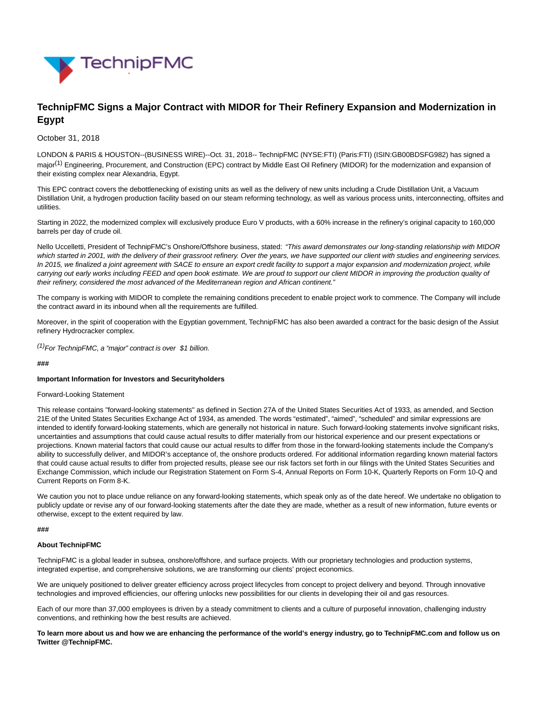

# **TechnipFMC Signs a Major Contract with MIDOR for Their Refinery Expansion and Modernization in Egypt**

### October 31, 2018

LONDON & PARIS & HOUSTON--(BUSINESS WIRE)--Oct. 31, 2018-- TechnipFMC (NYSE:FTI) (Paris:FTI) (ISIN:GB00BDSFG982) has signed a major<sup>(1)</sup> Engineering, Procurement, and Construction (EPC) contract by Middle East Oil Refinery (MIDOR) for the modernization and expansion of their existing complex near Alexandria, Egypt.

This EPC contract covers the debottlenecking of existing units as well as the delivery of new units including a Crude Distillation Unit, a Vacuum Distillation Unit, a hydrogen production facility based on our steam reforming technology, as well as various process units, interconnecting, offsites and utilities.

Starting in 2022, the modernized complex will exclusively produce Euro V products, with a 60% increase in the refinery's original capacity to 160,000 barrels per day of crude oil.

Nello Uccelletti, President of TechnipFMC's Onshore/Offshore business, stated: "This award demonstrates our long-standing relationship with MIDOR which started in 2001, with the delivery of their grassroot refinery. Over the years, we have supported our client with studies and engineering services. In 2015, we finalized a joint agreement with SACE to ensure an export credit facility to support a major expansion and modernization project, while carrying out early works including FEED and open book estimate. We are proud to support our client MIDOR in improving the production quality of their refinery, considered the most advanced of the Mediterranean region and African continent."

The company is working with MIDOR to complete the remaining conditions precedent to enable project work to commence. The Company will include the contract award in its inbound when all the requirements are fulfilled.

Moreover, in the spirit of cooperation with the Egyptian government, TechnipFMC has also been awarded a contract for the basic design of the Assiut refinery Hydrocracker complex.

 $(1)$ For TechnipFMC, a "major" contract is over \$1 billion.

#### **###**

## **Important Information for Investors and Securityholders**

#### Forward-Looking Statement

This release contains "forward-looking statements" as defined in Section 27A of the United States Securities Act of 1933, as amended, and Section 21E of the United States Securities Exchange Act of 1934, as amended. The words "estimated", "aimed", "scheduled" and similar expressions are intended to identify forward-looking statements, which are generally not historical in nature. Such forward-looking statements involve significant risks, uncertainties and assumptions that could cause actual results to differ materially from our historical experience and our present expectations or projections. Known material factors that could cause our actual results to differ from those in the forward-looking statements include the Company's ability to successfully deliver, and MIDOR's acceptance of, the onshore products ordered. For additional information regarding known material factors that could cause actual results to differ from projected results, please see our risk factors set forth in our filings with the United States Securities and Exchange Commission, which include our Registration Statement on Form S-4, Annual Reports on Form 10-K, Quarterly Reports on Form 10-Q and Current Reports on Form 8-K.

We caution you not to place undue reliance on any forward-looking statements, which speak only as of the date hereof. We undertake no obligation to publicly update or revise any of our forward-looking statements after the date they are made, whether as a result of new information, future events or otherwise, except to the extent required by law.

#### **###**

## **About TechnipFMC**

TechnipFMC is a global leader in subsea, onshore/offshore, and surface projects. With our proprietary technologies and production systems, integrated expertise, and comprehensive solutions, we are transforming our clients' project economics.

We are uniquely positioned to deliver greater efficiency across project lifecycles from concept to project delivery and beyond. Through innovative technologies and improved efficiencies, our offering unlocks new possibilities for our clients in developing their oil and gas resources.

Each of our more than 37,000 employees is driven by a steady commitment to clients and a culture of purposeful innovation, challenging industry conventions, and rethinking how the best results are achieved.

**To learn more about us and how we are enhancing the performance of the world's energy industry, go to TechnipFMC.com and follow us on Twitter @TechnipFMC.**